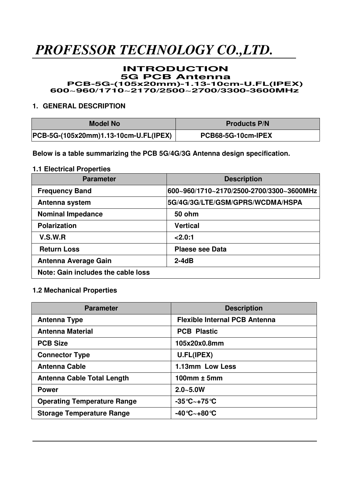#### **INTRODUCTION 5G PCB Antenna PCB-5G-(105x20mm)-1.13-10cm-U.FL(IPEX) 600~960/1710~2170/2500~2700/3300-3600MHz**

### **1. GENERAL DESCRIPTION**

| Model No                              | <b>Products P/N</b> |
|---------------------------------------|---------------------|
| PCB-5G-(105x20mm)1.13-10cm-U.FL(IPEX) | PCB68-5G-10cm-IPEX  |

**Below is a table summarizing the PCB 5G/4G/3G Antenna design specification.** 

### **1.1 Electrical Properties**

| <b>Parameter</b>                   | <b>Description</b>                       |
|------------------------------------|------------------------------------------|
| <b>Frequency Band</b>              | 600~960/1710~2170/2500-2700/3300~3600MHz |
| Antenna system                     | 5G/4G/3G/LTE/GSM/GPRS/WCDMA/HSPA         |
| <b>Nominal Impedance</b>           | <b>50 ohm</b>                            |
| <b>Polarization</b>                | <b>Vertical</b>                          |
| V.S.W.R                            | 2.0:1                                    |
| <b>Return Loss</b>                 | <b>Plaese see Data</b>                   |
| <b>Antenna Average Gain</b>        | $2-4dB$                                  |
| Note: Gain includes the cable loss |                                          |

### **1.2 Mechanical Properties**

| <b>Parameter</b>                   | <b>Description</b>                      |
|------------------------------------|-----------------------------------------|
| <b>Antenna Type</b>                | <b>Flexible Internal PCB Antenna</b>    |
| <b>Antenna Material</b>            | <b>PCB Plastic</b>                      |
| <b>PCB Size</b>                    | 105x20x0.8mm                            |
| <b>Connector Type</b>              | U.FL(IPEX)                              |
| <b>Antenna Cable</b>               | 1.13mm Low Less                         |
| Antenna Cable Total Length         | 100 $mm \pm 5mm$                        |
| <b>Power</b>                       | $2.0 - 5.0W$                            |
| <b>Operating Temperature Range</b> | $-35^{\circ}$ C $\sim$ +75 $^{\circ}$ C |
| <b>Storage Temperature Range</b>   | -40℃~+80℃                               |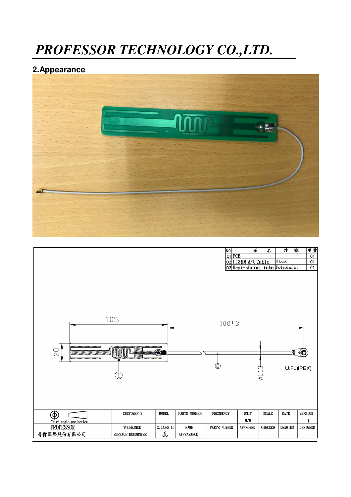### **2.Appearance**



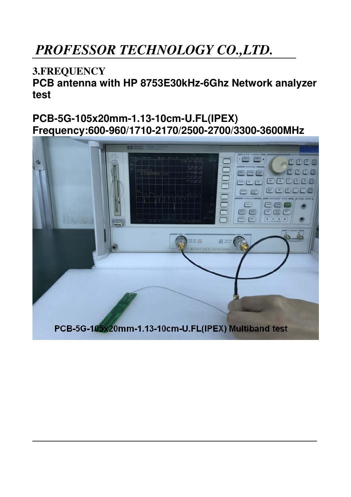### **3.FREQUENCY**

**PCB antenna with HP 8753E30kHz-6Ghz Network analyzer test** 

### **PCB-5G-105x20mm-1.13-10cm-U.FL(IPEX) Frequency:600-960/1710-2170/2500-2700/3300-3600MHz**

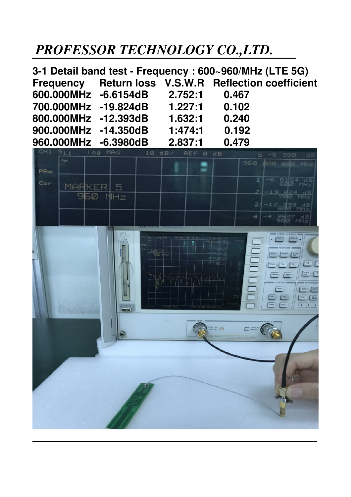**3-1 Detail band test - Frequency : 600~960/MHz (LTE 5G) Frequency Return loss V.S.W.R Reflection coefficient 600.000MHz -6.6154dB 2.752:1 0.467 700.000MHz -19.824dB 1.227:1 0.102 800.000MHz -12.393dB 1.632:1 0.240 900.000MHz -14.350dB 1:474:1 0.192 960.000MHz -6.3980dB 2.837:1 0.479** 

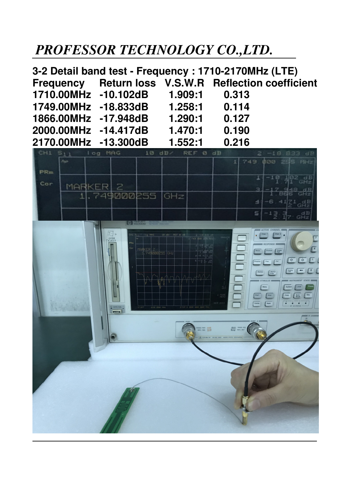**3-2 Detail band test - Frequency : 1710-2170MHz (LTE) Frequency Return loss V.S.W.R Reflection coefficient 1710.00MHz -10.102dB 1.909:1 0.313 1749.00MHz -18.833dB 1.258:1 0.114 1866.00MHz -17.948dB 1.290:1 0.127 2000.00MHz -14.417dB 1.470:1 0.190 2170.00MHz -13.300dB 1.552:1 0.216** 

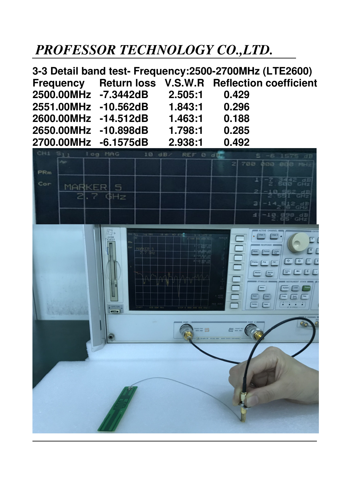| 3-3 Detail band test- Frequency: 2500-2700MHz (LTE2600) |                              |         |                                                      |  |
|---------------------------------------------------------|------------------------------|---------|------------------------------------------------------|--|
|                                                         |                              |         | Frequency Return loss V.S.W.R Reflection coefficient |  |
|                                                         | 2500.00MHz -7.3442dB 2.505:1 |         | 0.429                                                |  |
| 2551.00MHz -10.562dB                                    |                              | 1.843:1 | 0.296                                                |  |
| 2600.00MHz -14.512dB                                    |                              | 1.463:1 | 0.188                                                |  |
| 2650.00MHz -10.898dB                                    |                              | 1.798:1 | 0.285                                                |  |
| 2700.00MHz -6.1575dB                                    |                              | 2.938:1 | 0.492                                                |  |